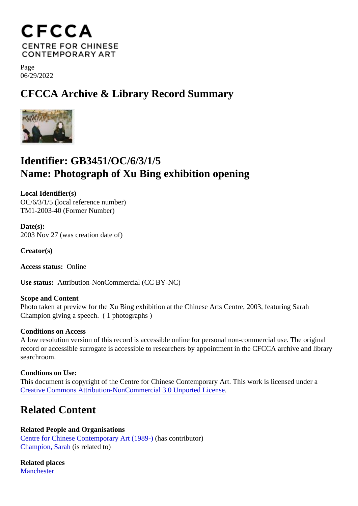Page 06/29/2022

## CFCCA Archive & Library Record Summary

## Identifier: GB3451/OC/6/3/1/5 Name: Photograph of Xu Bing exhibition opening

Local Identifier(s) OC/6/3/1/5 (local reference number) TM1-2003-40 (Former Number)

Date(s): 2003 Nov 27 (was creation date of)

Creator(s)

Access status: Online

Use status: Attribution-NonCommercial (CC BY-NC)

Scope and Content Photo taken at preview for the Xu Bing exhibition at the Chinese Arts Centre, 2003, featuring Sarah Champion giving a speech. ( 1 photographs )

Conditions on Access

A low resolution version of this record is accessible online for personal non-commercial use. The original record or accessible surrogate is accessible to researchers by appointment in the CFCCA archive and libr searchroom.

Condtions on Use: This document is copyright of the Centre for Chinese Contemporary Art. This work is licensed under a [Creative Commons Attribution-NonCommercial 3.0 Unported Lic](https://creativecommons.org/licenses/by-nc/3.0/)ense .

## Related Content

Related People and Organisations [Centre for Chinese Contemporary Art \(198](/index.php/Detail/entities/2)<sup>0</sup>)(has contributor) [Champion, Sara](/index.php/Detail/entities/61)fis related to)

Related places **[Mancheste](/index.php/Detail/places/5)r**